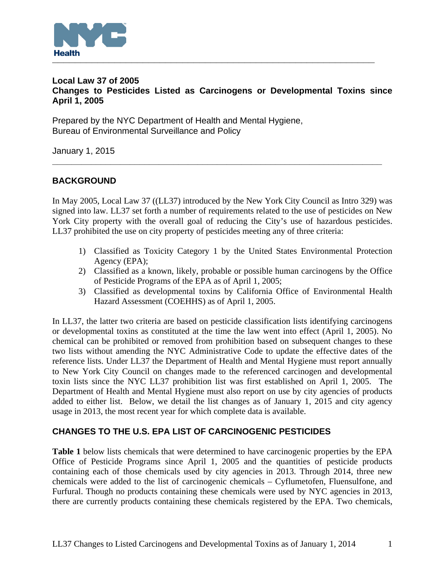

## **Local Law 37 of 2005 Changes to Pesticides Listed as Carcinogens or Developmental Toxins since April 1, 2005**

Prepared by the NYC Department of Health and Mental Hygiene, Bureau of Environmental Surveillance and Policy

January 1, 2015

# **BACKGROUND**

In May 2005, Local Law 37 ((LL37) introduced by the New York City Council as Intro 329) was signed into law. LL37 set forth a number of requirements related to the use of pesticides on New York City property with the overall goal of reducing the City's use of hazardous pesticides. LL37 prohibited the use on city property of pesticides meeting any of three criteria:

**\_\_\_\_\_\_\_\_\_\_\_\_\_\_\_\_\_\_\_\_\_\_\_\_\_\_\_\_\_\_\_\_\_\_\_\_\_\_\_\_\_\_\_\_\_\_\_\_\_\_\_\_\_\_\_\_\_\_\_\_\_\_\_\_\_\_\_\_** 

- 1) Classified as Toxicity Category 1 by the United States Environmental Protection Agency (EPA);
- 2) Classified as a known, likely, probable or possible human carcinogens by the Office of Pesticide Programs of the EPA as of April 1, 2005;
- 3) Classified as developmental toxins by California Office of Environmental Health Hazard Assessment (COEHHS) as of April 1, 2005.

In LL37, the latter two criteria are based on pesticide classification lists identifying carcinogens or developmental toxins as constituted at the time the law went into effect (April 1, 2005). No chemical can be prohibited or removed from prohibition based on subsequent changes to these two lists without amending the NYC Administrative Code to update the effective dates of the reference lists. Under LL37 the Department of Health and Mental Hygiene must report annually to New York City Council on changes made to the referenced carcinogen and developmental toxin lists since the NYC LL37 prohibition list was first established on April 1, 2005. The Department of Health and Mental Hygiene must also report on use by city agencies of products added to either list. Below, we detail the list changes as of January 1, 2015 and city agency usage in 2013, the most recent year for which complete data is available.

## **CHANGES TO THE U.S. EPA LIST OF CARCINOGENIC PESTICIDES**

**Table 1** below lists chemicals that were determined to have carcinogenic properties by the EPA Office of Pesticide Programs since April 1, 2005 and the quantities of pesticide products containing each of those chemicals used by city agencies in 2013. Through 2014, three new chemicals were added to the list of carcinogenic chemicals – Cyflumetofen, Fluensulfone, and Furfural. Though no products containing these chemicals were used by NYC agencies in 2013, there are currently products containing these chemicals registered by the EPA. Two chemicals,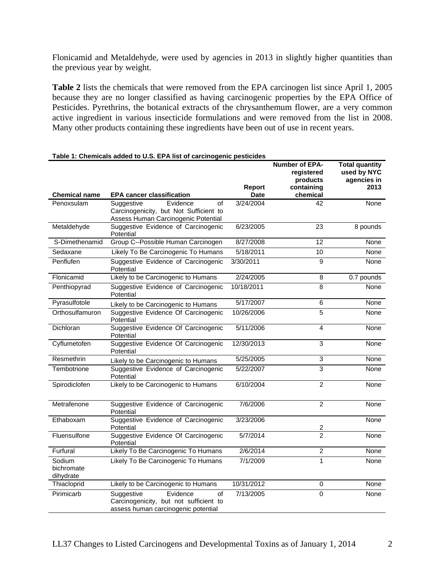Flonicamid and Metaldehyde, were used by agencies in 2013 in slightly higher quantities than the previous year by weight.

**Table 2** lists the chemicals that were removed from the EPA carcinogen list since April 1, 2005 because they are no longer classified as having carcinogenic properties by the EPA Office of Pesticides. Pyrethrins, the botanical extracts of the chrysanthemum flower, are a very common active ingredient in various insecticide formulations and were removed from the list in 2008. Many other products containing these ingredients have been out of use in recent years.

|                                   |                                                                                                               | Report      | <b>Number of EPA-</b><br>registered<br>products<br>containing | <b>Total quantity</b><br>used by NYC<br>agencies in<br>2013 |
|-----------------------------------|---------------------------------------------------------------------------------------------------------------|-------------|---------------------------------------------------------------|-------------------------------------------------------------|
| <b>Chemical name</b>              | <b>EPA cancer classification</b>                                                                              | <b>Date</b> | chemical                                                      |                                                             |
| Penoxsulam                        | Evidence<br>Suggestive<br>οf<br>Carcinogenicity, but Not Sufficient to<br>Assess Human Carcinogenic Potential | 3/24/2004   | 42                                                            | None                                                        |
| Metaldehyde                       | Suggestive Evidence of Carcinogenic<br>Potential                                                              | 6/23/2005   | 23                                                            | 8 pounds                                                    |
| S-Dimethenamid                    | Group C--Possible Human Carcinogen                                                                            | 8/27/2008   | 12                                                            | None                                                        |
| Sedaxane                          | Likely To Be Carcinogenic To Humans                                                                           | 5/18/2011   | 10                                                            | None                                                        |
| Penflufen                         | Suggestive Evidence of Carcinogenic<br>Potential                                                              | 3/30/2011   | 9                                                             | None                                                        |
| Flonicamid                        | Likely to be Carcinogenic to Humans                                                                           | 2/24/2005   | 8                                                             | 0.7 pounds                                                  |
| Penthiopyrad                      | Suggestive Evidence of Carcinogenic<br>Potential                                                              | 10/18/2011  | 8                                                             | None                                                        |
| Pyrasulfotole                     | Likely to be Carcinogenic to Humans                                                                           | 5/17/2007   | $6\phantom{1}6$                                               | None                                                        |
| Orthosulfamuron                   | Suggestive Evidence Of Carcinogenic<br>Potential                                                              | 10/26/2006  | 5                                                             | None                                                        |
| Dichloran                         | Suggestive Evidence Of Carcinogenic<br>Potential                                                              | 5/11/2006   | 4                                                             | None                                                        |
| Cyflumetofen                      | Suggestive Evidence Of Carcinogenic<br>Potential                                                              | 12/30/2013  | 3                                                             | None                                                        |
| Resmethrin                        | Likely to be Carcinogenic to Humans                                                                           | 5/25/2005   | 3                                                             | <b>None</b>                                                 |
| Tembotrione                       | Suggestive Evidence of Carcinogenic<br>Potential                                                              | 5/22/2007   | 3                                                             | <b>None</b>                                                 |
| Spirodiclofen                     | Likely to be Carcinogenic to Humans                                                                           | 6/10/2004   | $\overline{2}$                                                | None                                                        |
| Metrafenone                       | Suggestive Evidence of Carcinogenic<br>Potential                                                              | 7/6/2006    | $\overline{2}$                                                | <b>None</b>                                                 |
| Ethaboxam                         | Suggestive Evidence of Carcinogenic<br>Potential                                                              | 3/23/2006   | 2                                                             | None                                                        |
| Fluensulfone                      | Suggestive Evidence Of Carcinogenic<br>Potential                                                              | 5/7/2014    | $\mathfrak{p}$                                                | None                                                        |
| Furfural                          | Likely To Be Carcinogenic To Humans                                                                           | 2/6/2014    | $\overline{2}$                                                | <b>None</b>                                                 |
| Sodium<br>bichromate<br>dihydrate | Likely To Be Carcinogenic To Humans                                                                           | 7/1/2009    | 1                                                             | None                                                        |
| Thiacloprid                       | Likely to be Carcinogenic to Humans                                                                           | 10/31/2012  | 0                                                             | None                                                        |
| Pirimicarb                        | Suggestive<br>Evidence<br>οf<br>Carcinogenicity, but not sufficient to<br>assess human carcinogenic potential | 7/13/2005   | $\Omega$                                                      | None                                                        |

#### **Table 1: Chemicals added to U.S. EPA list of carcinogenic pesticides**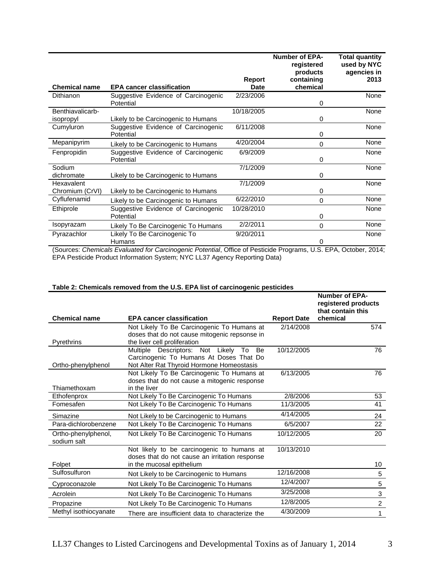|                      |                                                                                                                       |                       | <b>Number of EPA-</b><br>registered<br>products | <b>Total quantity</b><br>used by NYC<br>agencies in |
|----------------------|-----------------------------------------------------------------------------------------------------------------------|-----------------------|-------------------------------------------------|-----------------------------------------------------|
| <b>Chemical name</b> | <b>EPA cancer classification</b>                                                                                      | Report<br><b>Date</b> | containing<br>chemical                          | 2013                                                |
| Dithianon            | Suggestive Evidence of Carcinogenic<br>Potential                                                                      | 2/23/2006             | 0                                               | None                                                |
| Benthiavalicarb-     |                                                                                                                       | 10/18/2005            |                                                 | None                                                |
| isopropyl            | Likely to be Carcinogenic to Humans                                                                                   |                       | 0                                               |                                                     |
| Cumyluron            | Suggestive Evidence of Carcinogenic<br>Potential                                                                      | 6/11/2008             | 0                                               | None                                                |
| Mepanipyrim          | Likely to be Carcinogenic to Humans                                                                                   | 4/20/2004             | 0                                               | None                                                |
| Fenpropidin          | Suggestive Evidence of Carcinogenic<br>Potential                                                                      | 6/9/2009              | 0                                               | None                                                |
| Sodium               |                                                                                                                       | 7/1/2009              |                                                 | None                                                |
| dichromate           | Likely to be Carcinogenic to Humans                                                                                   |                       | 0                                               |                                                     |
| Hexavalent           |                                                                                                                       | 7/1/2009              |                                                 | None                                                |
| Chromium (CrVI)      | Likely to be Carcinogenic to Humans                                                                                   |                       | 0                                               |                                                     |
| Cyflufenamid         | Likely to be Carcinogenic to Humans                                                                                   | 6/22/2010             | 0                                               | None                                                |
| Ethiprole            | Suggestive Evidence of Carcinogenic<br>Potential                                                                      | 10/28/2010            | 0                                               | None                                                |
| Isopyrazam           | Likely To Be Carcinogenic To Humans                                                                                   | 2/2/2011              | 0                                               | None                                                |
| Pyrazachlor          | Likely To Be Carcinogenic To                                                                                          | 9/20/2011             |                                                 | None                                                |
|                      | Humans<br>Courses: Chamisola Evaluated for Carainagania Detential Office of Destinide Programe U.S. EDA October 2014: |                       | ი                                               |                                                     |

(Sources: *Chemicals Evaluated for Carcinogenic Potential*, Office of Pesticide Programs, U.S. EPA, October, 2014; EPA Pesticide Product Information System; NYC LL37 Agency Reporting Data)

|                                    |                                                                                                                                   |                    | Number of EPA-<br>registered products<br>that contain this |
|------------------------------------|-----------------------------------------------------------------------------------------------------------------------------------|--------------------|------------------------------------------------------------|
| <b>Chemical name</b>               | <b>EPA cancer classification</b>                                                                                                  | <b>Report Date</b> | chemical                                                   |
|                                    | Not Likely To Be Carcinogenic To Humans at<br>doses that do not cause mitogenic repsonse in                                       | 2/14/2008          | 574                                                        |
| Pyrethrins                         | the liver cell proliferation                                                                                                      |                    |                                                            |
| Ortho-phenylphenol                 | Multiple Descriptors: Not Likely To<br>Be<br>Carcinogenic To Humans At Doses That Do<br>Not Alter Rat Thyroid Hormone Homeostasis | 10/12/2005         | 76                                                         |
| Thiamethoxam                       | Not Likely To Be Carcinogenic To Humans at<br>doses that do not cause a mitogenic response<br>in the liver                        | 6/13/2005          | 76                                                         |
| Ethofenprox                        | Not Likely To Be Carcinogenic To Humans                                                                                           | 2/8/2006           | 53                                                         |
| Fomesafen                          | Not Likely To Be Carcinogenic To Humans                                                                                           | 11/3/2005          | 41                                                         |
| Simazine                           | Not Likely to be Carcinogenic to Humans                                                                                           | 4/14/2005          | 24                                                         |
| Para-dichlorobenzene               | Not Likely To Be Carcinogenic To Humans                                                                                           | 6/5/2007           | 22                                                         |
| Ortho-phenylphenol,<br>sodium salt | Not Likely To Be Carcinogenic To Humans                                                                                           | 10/12/2005         | 20                                                         |
|                                    | Not likely to be carcinogenic to humans at<br>doses that do not cause an irritation response                                      | 10/13/2010         |                                                            |
| Folpet                             | in the mucosal epithelium                                                                                                         |                    | 10                                                         |
| Sulfosulfuron                      | Not Likely to be Carcinogenic to Humans                                                                                           | 12/16/2008         | 5                                                          |
| Cyproconazole                      | Not Likely To Be Carcinogenic To Humans                                                                                           | 12/4/2007          | 5                                                          |
| Acrolein                           | Not Likely To Be Carcinogenic To Humans                                                                                           | 3/25/2008          | 3                                                          |
| Propazine                          | Not Likely To Be Carcinogenic To Humans                                                                                           | 12/8/2005          | $\overline{c}$                                             |
| Methyl isothiocyanate              | There are insufficient data to characterize the                                                                                   | 4/30/2009          | 1                                                          |